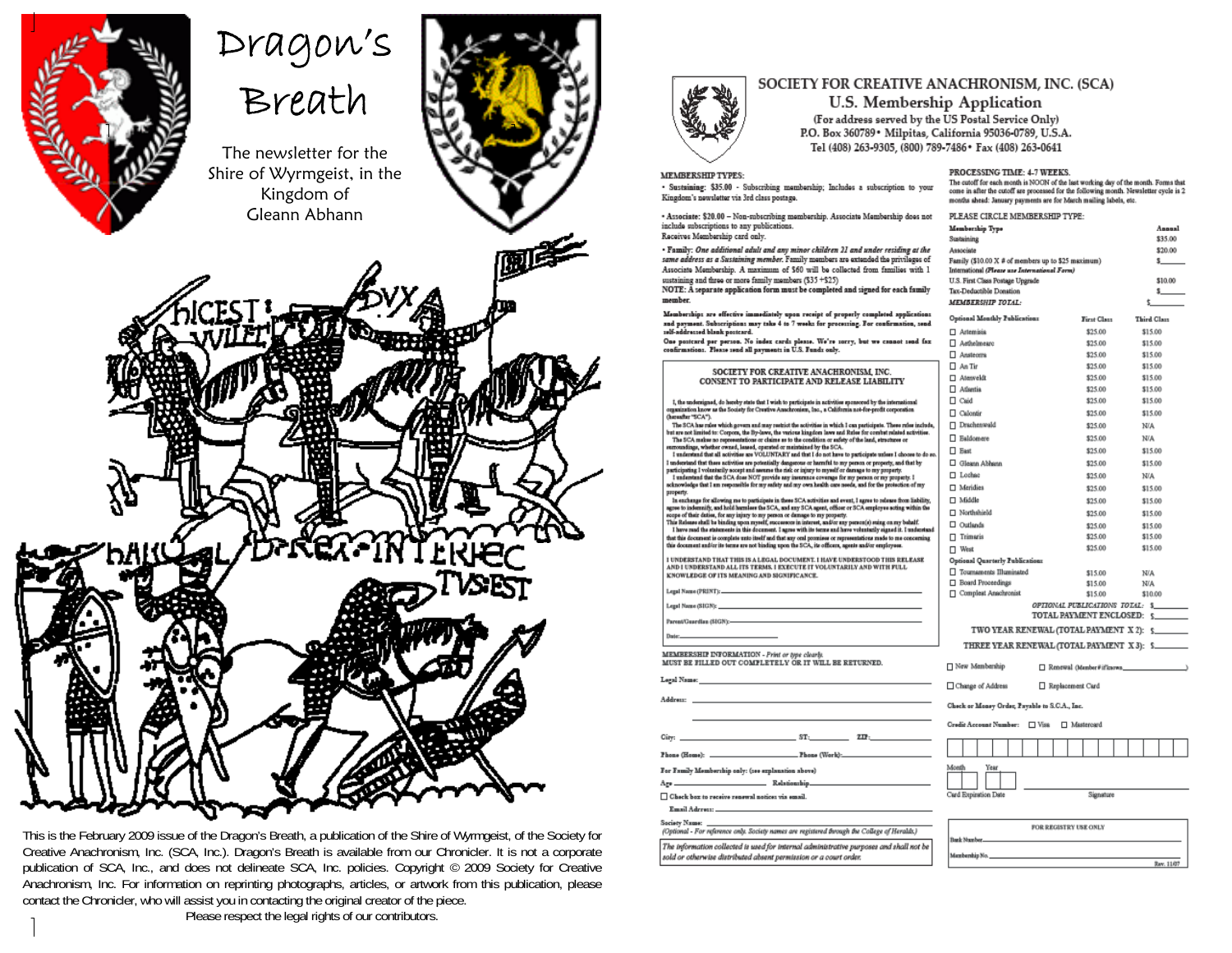

# Dragon's<br>Breath

The newsletter for the Shire of Wyrmgeist, in the Kingdom of Gleann Abhann





This is the February 2009 issue of the Dragon's Breath, a publication of the Shire of Wyrmgeist, of the Society for Creative Anachronism, Inc. (SCA, Inc.). Dragon's Breath is available from our Chronicler. It is not a corporate publication of SCA, Inc., and does not delineate SCA, Inc. policies. Copyright © 2009 Society for Creative Anachronism, Inc. For information on reprinting photographs, articles, or artwork from this publication, please contact the Chronicler, who will assist you in contacting the original creator of the piece.

Please respect the legal rights of our contributors.



#### SOCIETY FOR CREATIVE ANACHRONISM, INC. (SCA)

**U.S. Membership Application** 

(For address served by the US Postal Service Only) P.O. Box 360789 · Milpitas, California 95036-0789, U.S.A. Tel (408) 263-9305. (800) 789-7486 \* Fax (408) 263-0641

#### **MEMBERSHIP TYPES:**

· Sustaining: \$35.00 - Subscribing mambership; Includes a subscription to your Kingdom's newsletter via 3rd class postage.

- Associate: \$20.00 - Non-subscribing membership. Associate Membership does not include subscriptions to any publications. Receives Membership card only.

· Family: One additional adult and any minor children 21 and under residing at the same address as a Sustaining member. Family mambars are axtanded the privileges of Associate Membership. A maximum of \$60 will be collected from families with 1 sustaining and three or more family members (\$35 +\$25). NOTE: A separate application form must be completed and signed for each family member.

Memberships are effective immediately upon receipt of properly completed application and payment. Subscriptions may take 4 to 7 weeks for processing. For confirma and payment. House postcard.

One postcard per person. No index cards please. We're sorry, but we<br>confirmations. Please send all payments in U.S. Funds only. sad fax

| SOCIETY FOR CREATIVE ANACHRONISM. INC.                                                                                                                                                                                             | ΠΑ            |
|------------------------------------------------------------------------------------------------------------------------------------------------------------------------------------------------------------------------------------|---------------|
| CONSENT TO PARTICIPATE AND RELEASE LIABILITY                                                                                                                                                                                       | ПA            |
|                                                                                                                                                                                                                                    | ПA            |
| I, the undersigned, do hereby state that I wish to participate in activities sponsored by the international                                                                                                                        | Пο            |
| organization know as the Society for Creative Anachroniers, Inc., a California not-for-profit corporation.<br>(harasfter 'SCA').                                                                                                   | Пο            |
| The SCA has raise which govern and may restrict the activities in which I can participate. These raise include,<br>but are not limited to: Corpora, the By-laws, the various kingdom laws and Rules for combat related activities. | $\Box$ $\Box$ |
| The SCA makes no representations or claims as to the condition or safety of the land, structures or                                                                                                                                | Пв            |
| surroundings, whether owned, leased, operated or maintained by the SCA.<br>I understand that all activities are VOLUNTARY and that I do not have to participate unless I choose to do so.                                          | ΠБ            |
| I understand that these activities are potentially dangerous or harmful to my person or property, and that by                                                                                                                      | ПG            |
| participating I voluntarily accept and assume the risk or injury to myself or damage to my property.<br>I understand that the SCA dose NOT provide any insurance coverage for my person or my property. I                          | ⊓⊥            |
| acknowledge that I am responsible for my safety and my own health care needs, and for the protection of my<br>property.                                                                                                            | ПM            |
| In exchange for allowing me to participate in these SCA activities and event, I agree to release from liability,<br>agnee to indemnify, and hold harmlers the SCA, and any SCA agent, officer or SCA employee acting within the    | пM            |
| scope of their deties, for any injury to my person or damage to my property.                                                                                                                                                       | ПN            |
| This Release shall be binding upon reynolf, successors in interest, and/or any person(s) suing on my behalf.<br>I have read the statements in this document. I agree with its terms and have voluntarily signed it. I understand   | □○            |
| that this document is complete unto itself and that any onl promises or representations made to me concerning                                                                                                                      | ΠΤ            |
| this document and/or its terms are not binding upon the SCA, its officers, agents and/or employees.                                                                                                                                | ПΜ            |
| I UNDERSTAND THAT THIS IS A LEGAL DOCUMENT. I HAVE UNDERSTOOD THIS RELEASE<br>AND I UNDERSTAND ALL ITS TERMS. I EXECUTE IT VOLUNTARILY AND WITH FULL                                                                               | Optio         |
| KNOWLEDGE OF ITS MEANING AND SIGNIFICANCE.                                                                                                                                                                                         | Пπ            |
|                                                                                                                                                                                                                                    | ΠВ            |
|                                                                                                                                                                                                                                    | пο            |
| Legal Name (SIGN); North Contract Contract Contract Contract Contract Contract Contract Contract Contract Contract Contract Contract Contract Contract Contract Contract Contract Contract Contract Contract Contract Contract     |               |
| Parent/Guardian (SIGN):- The Context of the Context of the Context of the Context of the Context of the Context of the Context of the Context of the Context of the Context of the Context of the Context of the Context of th     |               |
| Date: The Commission of the Commission of the Commission                                                                                                                                                                           |               |
|                                                                                                                                                                                                                                    |               |

MEMBERSHIP INFORMATION - Print or type clearly.<br>MUST BE FILLED OUT COMPLETELY OR IT WILL BE RETURNED.

Legal Name

Address:

 $ST$ : City:  $2.12$ **Phone (World)** Phone (Home):

For Family Membership only: (see explanation above)

Age. Ralationship

 $\Box$  Check box to receive renewal notices via email.

Email Adress:

Society Name: (Optional - For reference only. Society names are registered through the College of Heralds.) The information collected is used for internal administrative purposes and shall not be sold or otherwise distributed absent permission or a court order.

PROCESSING TIME: 4-7 WEEKS.

The cutoff for each month is NOON of the last working day of the month. Forms that come in after the cutoff are processed for the following month. Newaletter cycle is 2 months shead: January payments are for March mailing labels, etc.

| PLEASE CIRCLE MEMBERSHIP TYPE:                              |                  |                                 |                                          |  |  |  |  |  |
|-------------------------------------------------------------|------------------|---------------------------------|------------------------------------------|--|--|--|--|--|
| Membership Type                                             |                  |                                 | Annual                                   |  |  |  |  |  |
| Sustaining                                                  |                  |                                 | \$35.00                                  |  |  |  |  |  |
| Associate                                                   |                  |                                 | \$20.00                                  |  |  |  |  |  |
| Family (\$10.00 X # of members up to \$25 maximum)<br>s___  |                  |                                 |                                          |  |  |  |  |  |
| International (Please use International Form)               |                  |                                 |                                          |  |  |  |  |  |
| U.S. First Class Postage Upgrade<br>Tax-Deductible Donation |                  |                                 | \$10.00<br>s__                           |  |  |  |  |  |
| MEMBERSHIP TOTAL:                                           |                  |                                 | t                                        |  |  |  |  |  |
|                                                             |                  |                                 |                                          |  |  |  |  |  |
| Optional Monthly Publications                               |                  | First Class                     | <b>Third Class</b>                       |  |  |  |  |  |
| □ Artemisis                                                 |                  | \$25.00                         | \$15.00                                  |  |  |  |  |  |
| Aethelmearc                                                 |                  | \$25.00                         | \$15.00                                  |  |  |  |  |  |
| $\Box$ Anateoma                                             |                  | \$25.00                         | \$15.00<br>\$15.00                       |  |  |  |  |  |
| $\Box$ An Tir                                               |                  | \$25.00<br>\$25.00              |                                          |  |  |  |  |  |
| □ Atenveldt                                                 |                  | \$15.00                         |                                          |  |  |  |  |  |
| Atlantia                                                    |                  | \$25.00                         | \$15.00                                  |  |  |  |  |  |
| $\Box$ Caid                                                 |                  | \$25.00                         | \$15.00                                  |  |  |  |  |  |
| Calontir                                                    |                  | \$25.00                         | \$15.00                                  |  |  |  |  |  |
| □ Drachenwald                                               |                  | \$25.00                         | N/A                                      |  |  |  |  |  |
| □ Baldomere                                                 |                  | \$25.00                         | N/A                                      |  |  |  |  |  |
| $\Box$ East                                                 |                  | \$25.00                         | \$15.00                                  |  |  |  |  |  |
| Gleann Abhann                                               |                  | \$25.00                         | \$15.00                                  |  |  |  |  |  |
| □ Lochae                                                    |                  | \$25.00                         | N/A                                      |  |  |  |  |  |
| □ Meridies                                                  |                  | \$25.00                         | \$15.00                                  |  |  |  |  |  |
| □ Middle                                                    |                  | \$25.00                         | \$15.00                                  |  |  |  |  |  |
| Northshield                                                 |                  | \$25.00                         | \$15.00                                  |  |  |  |  |  |
| $\square$ Outlands                                          |                  | \$25.00                         | \$15.00                                  |  |  |  |  |  |
| $\sqcap$ Trimaris                                           |                  | \$25.00                         | \$15.00                                  |  |  |  |  |  |
| □ West                                                      |                  | \$25.00                         | \$15.00                                  |  |  |  |  |  |
| Optional Quarterly Publications                             |                  |                                 |                                          |  |  |  |  |  |
| Tournaments Illuminated                                     |                  | \$15.00                         | N/A                                      |  |  |  |  |  |
| Board Proceedings                                           |                  | \$15.00                         | N/A                                      |  |  |  |  |  |
| Complest Anachronist                                        |                  | \$15.00                         | \$10.00                                  |  |  |  |  |  |
|                                                             |                  | OPTIONAL PUBLICATIONS TOTAL: \$ |                                          |  |  |  |  |  |
|                                                             |                  |                                 | <b>TOTAL PAYMENT ENCLOSED: 5</b>         |  |  |  |  |  |
|                                                             |                  |                                 | TWO YEAR RENEWAL (TOTAL PAYMENT X 2): \$ |  |  |  |  |  |
| THREE YEAR RENEWAL (TOTAL PAYMENT X3): \$                   |                  |                                 |                                          |  |  |  |  |  |
|                                                             |                  |                                 |                                          |  |  |  |  |  |
| □ New Membership                                            |                  | Renewal (Member#ifknown         |                                          |  |  |  |  |  |
| Change of Address                                           | Replacement Card |                                 |                                          |  |  |  |  |  |
| Check or Money Order, Psyable to S.C.A., Inc.               |                  |                                 |                                          |  |  |  |  |  |
| Credit Account Number:                                      | $\square$ Visa   | □ Mastercard                    |                                          |  |  |  |  |  |
|                                                             |                  |                                 |                                          |  |  |  |  |  |
|                                                             |                  |                                 |                                          |  |  |  |  |  |
| Month<br>Year<br>Card Expiration Date<br>Signature          |                  |                                 |                                          |  |  |  |  |  |
| FOR REGISTRY USE ONLY                                       |                  |                                 |                                          |  |  |  |  |  |
| Bank Number.                                                |                  |                                 |                                          |  |  |  |  |  |
|                                                             |                  |                                 |                                          |  |  |  |  |  |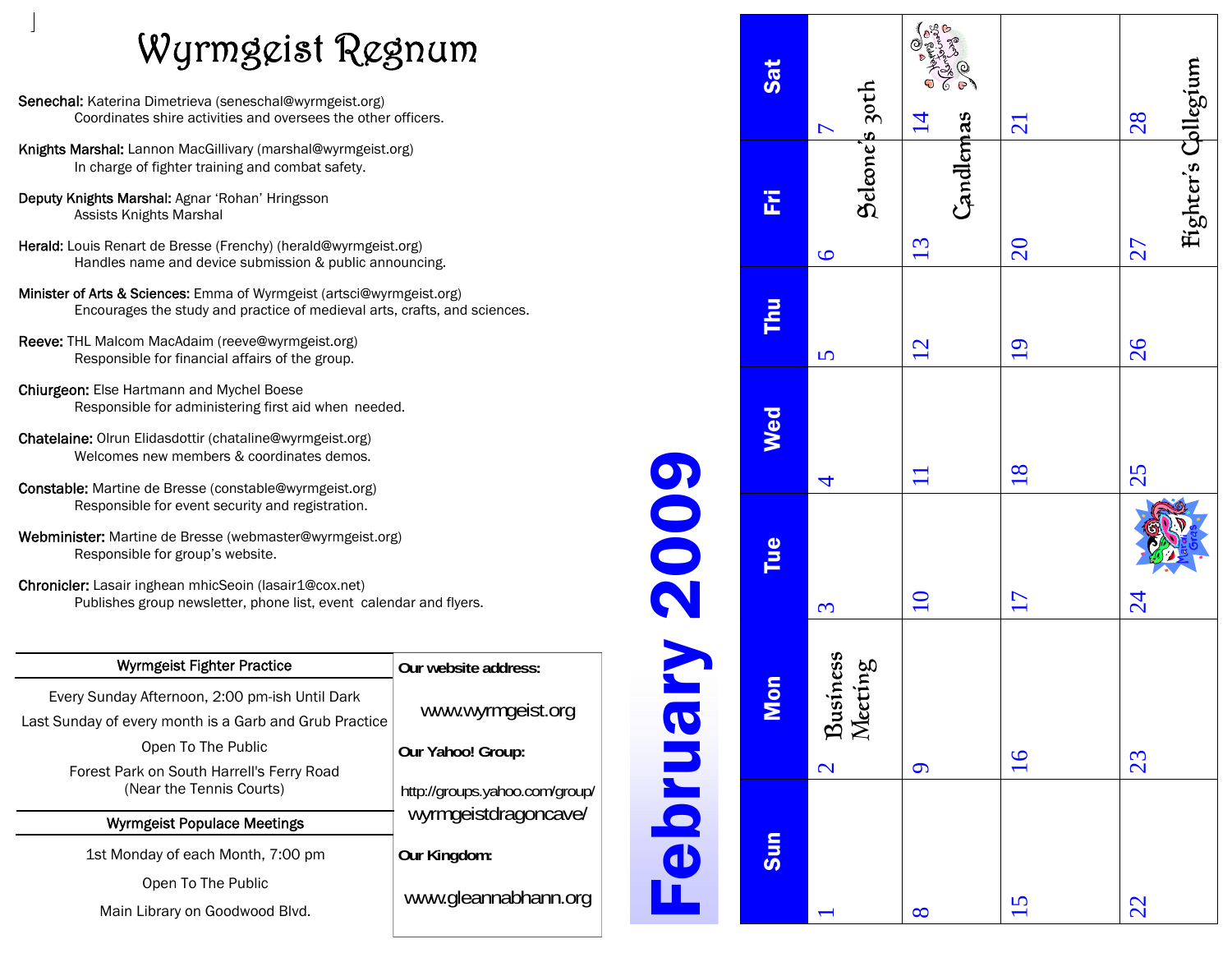## Wyrmgeist Regnum

- Senechal: Katerina Dimetrieva (seneschal@wyrmgeist.org) Coordinates shire activities and oversees the other officers.
- Knights Marshal: Lannon MacGillivary (marshal@wyrmgeist.org) In charge of fighter training and combat safety.
- Deputy Knights Marshal: Agnar 'Rohan' Hringsson Assists Knights Marshal
- Herald: Louis Renart de Bresse (Frenchy) (herald@wyrmgeist.org) Handles name and device submission & public announcing.
- Minister of Arts & Sciences: Emma of Wyrmgeist (artsci@wyrmgeist.org) Encourages the study and practice of medieval arts, crafts, and sciences.
- Reeve: THL Malcom MacAdaim (reeve@wyrmgeist.org) Responsible for financial affairs of the group.
- Chiurgeon: Else Hartmann and Mychel Boese Responsible for administering first aid when needed.
- Chatelaine: Olrun Elidasdottir (chataline@wyrmgeist.org) Welcomes new members & coordinates demos.
- Constable: Martine de Bresse (constable@wyrmgeist.org) Responsible for event security and registration.
- Webminister: Martine de Bresse (webmaster@wyrmgeist.org) Responsible for group's website.
- Chronicler: Lasair inghean mhicSeoin (lasair1@cox.net) Publishes group newsletter, phone list, event calendar and flyers.

| <b>Wyrmgeist Fighter Practice</b>                                                                        | Our website address:           |  |  |
|----------------------------------------------------------------------------------------------------------|--------------------------------|--|--|
| Every Sunday Afternoon, 2:00 pm-ish Until Dark<br>Last Sunday of every month is a Garb and Grub Practice | www.wyrmgeist.org              |  |  |
| Open To The Public                                                                                       | Our Yahoo! Group:              |  |  |
| Forest Park on South Harrell's Ferry Road<br>(Near the Tennis Courts)                                    | http://groups.yahoo.com/group/ |  |  |
| <b>Wyrmgeist Populace Meetings</b>                                                                       | wyrmgeistdragoncave/           |  |  |
| 1st Monday of each Month, 7:00 pm                                                                        | Our Kingdom:                   |  |  |
| Open To The Public                                                                                       | www.gleannabhann.org           |  |  |
| Main Library on Goodwood Blvd.                                                                           |                                |  |  |
|                                                                                                          |                                |  |  |

|                | Sat             | $\triangleright$                                | Company of<br>$\overline{4}$ | 21              | 28                        |
|----------------|-----------------|-------------------------------------------------|------------------------------|-----------------|---------------------------|
|                | E               | Seleone's 30th<br>$\overline{6}$                | Candlemas<br>13              | 20              | Fighter's Collegium<br>27 |
|                | Thu             | $\overline{S}$                                  | 12                           | $\overline{19}$ | 26                        |
|                | Wed             | 4                                               |                              | 18              | 25                        |
| <b>POOS AI</b> | Tue             | 3                                               | $\overline{10}$              | 17              | $\overline{24}$           |
|                | <b>non</b><br>2 | Business<br>Meeting<br>$\overline{\mathcal{C}}$ | $\sigma$                     | $\overline{16}$ | 23                        |
| ennde          | Sun             |                                                 | $\infty$                     | 15              | 22                        |

L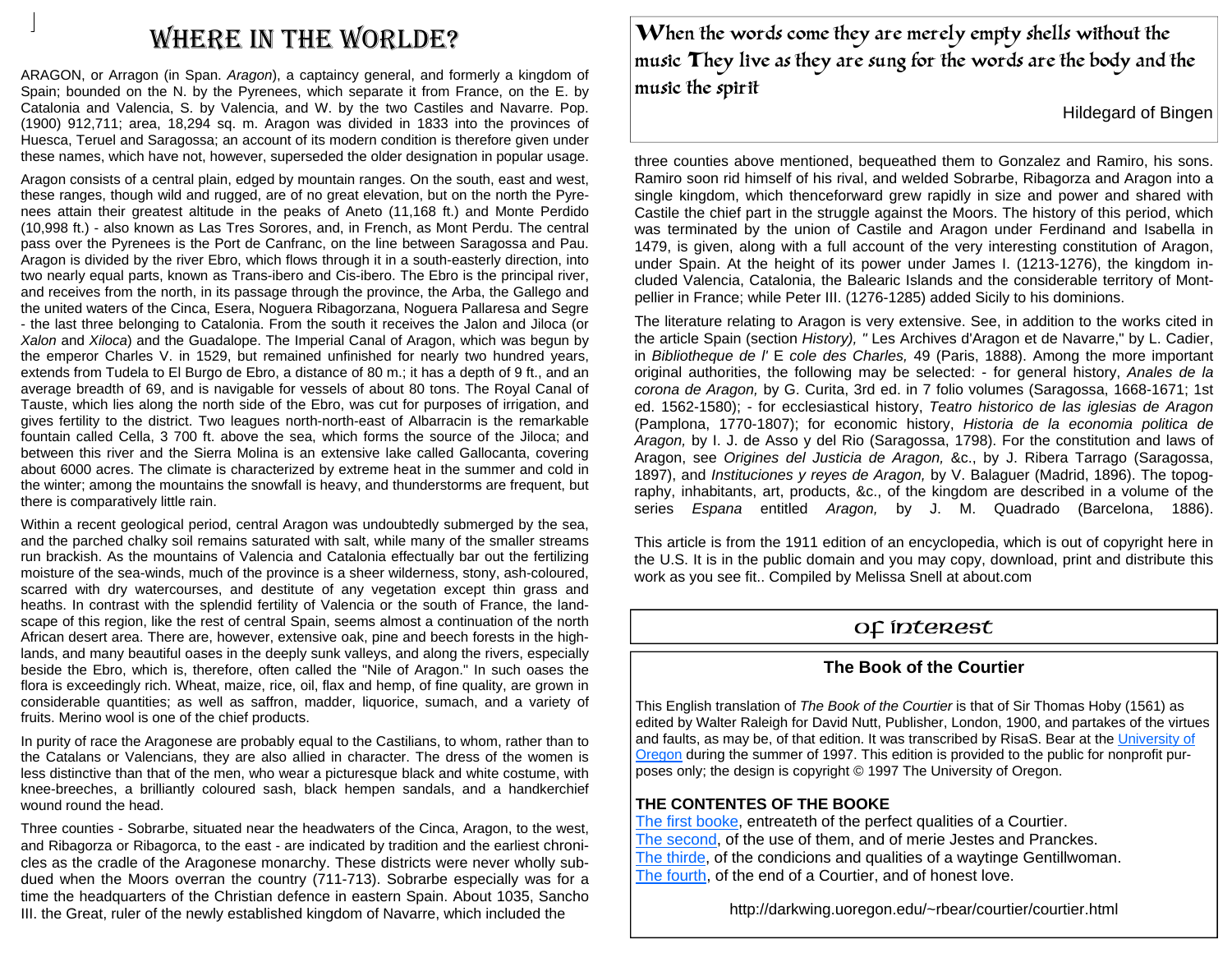### WHERE IN THE WORLDE?

ARAGON, or Arragon (in Span. *Aragon*), a captaincy general, and formerly a kingdom of Spain; bounded on the N. by the Pyrenees, which separate it from France, on the E. by Catalonia and Valencia, S. by Valencia, and W. by the two Castiles and Navarre. Pop. (1900) 912,711; area, 18,294 sq. m. Aragon was divided in 1833 into the provinces of Huesca, Teruel and Saragossa; an account of its modern condition is therefore given under these names, which have not, however, superseded the older designation in popular usage.

Aragon consists of a central plain, edged by mountain ranges. On the south, east and west, these ranges, though wild and rugged, are of no great elevation, but on the north the Pyrenees attain their greatest altitude in the peaks of Aneto (11,168 ft.) and Monte Perdido (10,998 ft.) - also known as Las Tres Sorores, and, in French, as Mont Perdu. The central pass over the Pyrenees is the Port de Canfranc, on the line between Saragossa and Pau. Aragon is divided by the river Ebro, which flows through it in a south-easterly direction, into two nearly equal parts, known as Trans-ibero and Cis-ibero. The Ebro is the principal river, and receives from the north, in its passage through the province, the Arba, the Gallego and the united waters of the Cinca, Esera, Noguera Ribagorzana, Noguera Pallaresa and Segre - the last three belonging to Catalonia. From the south it receives the Jalon and Jiloca (or *Xalon* and *Xiloca*) and the Guadalope. The Imperial Canal of Aragon, which was begun by the emperor Charles V. in 1529, but remained unfinished for nearly two hundred years, extends from Tudela to El Burgo de Ebro, a distance of 80 m.; it has a depth of 9 ft., and an average breadth of 69, and is navigable for vessels of about 80 tons. The Royal Canal of Tauste, which lies along the north side of the Ebro, was cut for purposes of irrigation, and gives fertility to the district. Two leagues north-north-east of Albarracin is the remarkable fountain called Cella, 3 700 ft. above the sea, which forms the source of the Jiloca; and between this river and the Sierra Molina is an extensive lake called Gallocanta, covering about 6000 acres. The climate is characterized by extreme heat in the summer and cold in the winter; among the mountains the snowfall is heavy, and thunderstorms are frequent, but there is comparatively little rain.

Within a recent geological period, central Aragon was undoubtedly submerged by the sea, and the parched chalky soil remains saturated with salt, while many of the smaller streams run brackish. As the mountains of Valencia and Catalonia effectually bar out the fertilizing moisture of the sea-winds, much of the province is a sheer wilderness, stony, ash-coloured, scarred with dry watercourses, and destitute of any vegetation except thin grass and heaths. In contrast with the splendid fertility of Valencia or the south of France, the landscape of this region, like the rest of central Spain, seems almost a continuation of the north African desert area. There are, however, extensive oak, pine and beech forests in the highlands, and many beautiful oases in the deeply sunk valleys, and along the rivers, especially beside the Ebro, which is, therefore, often called the "Nile of Aragon." In such oases the flora is exceedingly rich. Wheat, maize, rice, oil, flax and hemp, of fine quality, are grown in considerable quantities; as well as saffron, madder, liquorice, sumach, and a variety of fruits. Merino wool is one of the chief products.

In purity of race the Aragonese are probably equal to the Castilians, to whom, rather than to the Catalans or Valencians, they are also allied in character. The dress of the women is less distinctive than that of the men, who wear a picturesque black and white costume, with knee-breeches, a brilliantly coloured sash, black hempen sandals, and a handkerchief wound round the head.

Three counties - Sobrarbe, situated near the headwaters of the Cinca, Aragon, to the west, and Ribagorza or Ribagorca, to the east - are indicated by tradition and the earliest chronicles as the cradle of the Aragonese monarchy. These districts were never wholly subdued when the Moors overran the country (711-713). Sobrarbe especially was for a time the headquarters of the Christian defence in eastern Spain. About 1035, Sancho III. the Great, ruler of the newly established kingdom of Navarre, which included the

When the words come they are merely empty shells without the music They live as they are sung for the words are the body and the music the spirit.

Hildegard of Bingen

three counties above mentioned, bequeathed them to Gonzalez and Ramiro, his sons. Ramiro soon rid himself of his rival, and welded Sobrarbe, Ribagorza and Aragon into a single kingdom, which thenceforward grew rapidly in size and power and shared with Castile the chief part in the struggle against the Moors. The history of this period, which was terminated by the union of Castile and Aragon under Ferdinand and Isabella in 1479, is given, along with a full account of the very interesting constitution of Aragon, under Spain. At the height of its power under James I. (1213-1276), the kingdom included Valencia, Catalonia, the Balearic Islands and the considerable territory of Montpellier in France; while Peter III. (1276-1285) added Sicily to his dominions.

The literature relating to Aragon is very extensive. See, in addition to the works cited in the article Spain (section *History), "* Les Archives d'Aragon et de Navarre," by L. Cadier, in *Bibliotheque de l'* E *cole des Charles,* 49 (Paris, 1888). Among the more important original authorities, the following may be selected: - for general history, *Anales de la corona de Aragon,* by G. Curita, 3rd ed. in 7 folio volumes (Saragossa, 1668-1671; 1st ed. 1562-1580); - for ecclesiastical history, *Teatro historico de las iglesias de Aragon*  (Pamplona, 1770-1807); for economic history, *Historia de la economia politica de Aragon,* by I. J. de Asso y del Rio (Saragossa, 1798). For the constitution and laws of Aragon, see *Origines del Justicia de Aragon,* &c., by J. Ribera Tarrago (Saragossa, 1897), and *Instituciones y reyes de Aragon,* by V. Balaguer (Madrid, 1896). The topography, inhabitants, art, products, &c., of the kingdom are described in a volume of the series *Espana* entitled *Aragon,* by J. M. Quadrado (Barcelona, 1886).

This article is from the 1911 edition of an encyclopedia, which is out of copyright here in the U.S. It is in the public domain and you may copy, download, print and distribute this work as you see fit.. Compiled by Melissa Snell at about.com

#### Of Interest

#### **The Book of the Courtier**

This English translation of *The Book of the Courtier* is that of Sir Thomas Hoby (1561) as edited by Walter Raleigh for David Nutt, Publisher, London, 1900, and partakes of the virtues and faults, as may be, of that edition. It was transcribed by RisaS. Bear at the University of Oregon during the summer of 1997. This edition is provided to the public for nonprofit purposes only; the design is copyright © 1997 The University of Oregon.

#### **THE CONTENTES OF THE BOOKE**

The first booke, entreateth of the perfect qualities of a Courtier. The second, of the use of them, and of merie Jestes and Pranckes. The thirde, of the condicions and qualities of a waytinge Gentillwoman. The fourth, of the end of a Courtier, and of honest love.

http://darkwing.uoregon.edu/~rbear/courtier/courtier.html